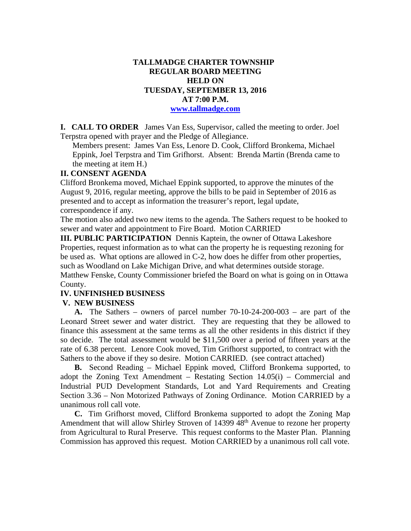## **TALLMADGE CHARTER TOWNSHIP REGULAR BOARD MEETING HELD ON TUESDAY, SEPTEMBER 13, 2016 AT 7:00 P.M. www.tallmadge.com**

**I. CALL TO ORDER** James Van Ess, Supervisor, called the meeting to order. Joel Terpstra opened with prayer and the Pledge of Allegiance.

Members present: James Van Ess, Lenore D. Cook, Clifford Bronkema, Michael Eppink, Joel Terpstra and Tim Grifhorst. Absent: Brenda Martin (Brenda came to the meeting at item H.)

### **II. CONSENT AGENDA**

Clifford Bronkema moved, Michael Eppink supported, to approve the minutes of the August 9, 2016, regular meeting, approve the bills to be paid in September of 2016 as presented and to accept as information the treasurer's report, legal update, correspondence if any.

The motion also added two new items to the agenda. The Sathers request to be hooked to sewer and water and appointment to Fire Board. Motion CARRIED

**III. PUBLIC PARTICIPATION** Dennis Kaptein, the owner of Ottawa Lakeshore Properties, request information as to what can the property he is requesting rezoning for be used as. What options are allowed in C-2, how does he differ from other properties, such as Woodland on Lake Michigan Drive, and what determines outside storage. Matthew Fenske, County Commissioner briefed the Board on what is going on in Ottawa County.

## **IV. UNFINISHED BUSINESS**

#### **V. NEW BUSINESS**

 **A.** The Sathers – owners of parcel number 70-10-24-200-003 – are part of the Leonard Street sewer and water district. They are requesting that they be allowed to finance this assessment at the same terms as all the other residents in this district if they so decide. The total assessment would be \$11,500 over a period of fifteen years at the rate of 6.38 percent. Lenore Cook moved, Tim Grifhorst supported, to contract with the Sathers to the above if they so desire. Motion CARRIED. (see contract attached)

 **B.** Second Reading – Michael Eppink moved, Clifford Bronkema supported, to adopt the Zoning Text Amendment – Restating Section  $14.05(i)$  – Commercial and Industrial PUD Development Standards, Lot and Yard Requirements and Creating Section 3.36 – Non Motorized Pathways of Zoning Ordinance. Motion CARRIED by a unanimous roll call vote.

 **C.** Tim Grifhorst moved, Clifford Bronkema supported to adopt the Zoning Map Amendment that will allow Shirley Stroven of 14399 48<sup>th</sup> Avenue to rezone her property from Agricultural to Rural Preserve. This request conforms to the Master Plan. Planning Commission has approved this request. Motion CARRIED by a unanimous roll call vote.